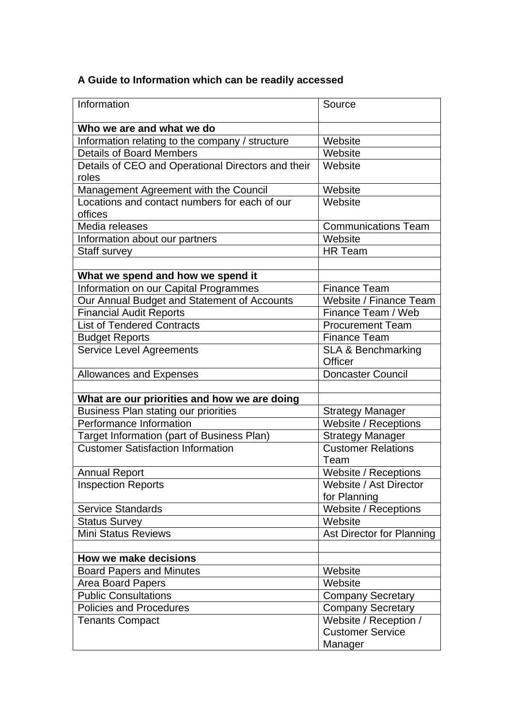## **A Guide to Information which can be readily accessed**

| Information                                        | Source                                   |
|----------------------------------------------------|------------------------------------------|
| Who we are and what we do                          |                                          |
| Information relating to the company / structure    | Website                                  |
| <b>Details of Board Members</b>                    | Website                                  |
| Details of CEO and Operational Directors and their | Website                                  |
| roles                                              |                                          |
| Management Agreement with the Council              | Website                                  |
| Locations and contact numbers for each of our      | Website                                  |
| offices                                            |                                          |
| Media releases                                     | <b>Communications Team</b>               |
| Information about our partners                     | Website                                  |
| <b>Staff survey</b>                                | <b>HR Team</b>                           |
|                                                    |                                          |
| What we spend and how we spend it                  |                                          |
| Information on our Capital Programmes              | <b>Finance Team</b>                      |
| Our Annual Budget and Statement of Accounts        | Website / Finance Team                   |
| <b>Financial Audit Reports</b>                     | Finance Team / Web                       |
| <b>List of Tendered Contracts</b>                  | <b>Procurement Team</b>                  |
| <b>Budget Reports</b>                              | <b>Finance Team</b>                      |
| <b>Service Level Agreements</b>                    | <b>SLA &amp; Benchmarking</b><br>Officer |
| <b>Allowances and Expenses</b>                     | <b>Doncaster Council</b>                 |
|                                                    |                                          |
| What are our priorities and how we are doing       |                                          |
| <b>Business Plan stating our priorities</b>        | <b>Strategy Manager</b>                  |
| Performance Information                            | Website / Receptions                     |
| Target Information (part of Business Plan)         | <b>Strategy Manager</b>                  |
| <b>Customer Satisfaction Information</b>           | <b>Customer Relations</b>                |
|                                                    | Team                                     |
| <b>Annual Report</b>                               | Website / Receptions                     |
| <b>Inspection Reports</b>                          | Website / Ast Director                   |
|                                                    | for Planning                             |
| <b>Service Standards</b>                           | Website / Receptions                     |
| <b>Status Survey</b>                               | Website                                  |
| <b>Mini Status Reviews</b>                         | Ast Director for Planning                |
|                                                    |                                          |
| How we make decisions                              |                                          |
| <b>Board Papers and Minutes</b>                    | Website                                  |
| <b>Area Board Papers</b>                           | Website                                  |
| <b>Public Consultations</b>                        | <b>Company Secretary</b>                 |
| <b>Policies and Procedures</b>                     | <b>Company Secretary</b>                 |
| <b>Tenants Compact</b>                             | Website / Reception /                    |
|                                                    | <b>Customer Service</b>                  |
|                                                    | Manager                                  |